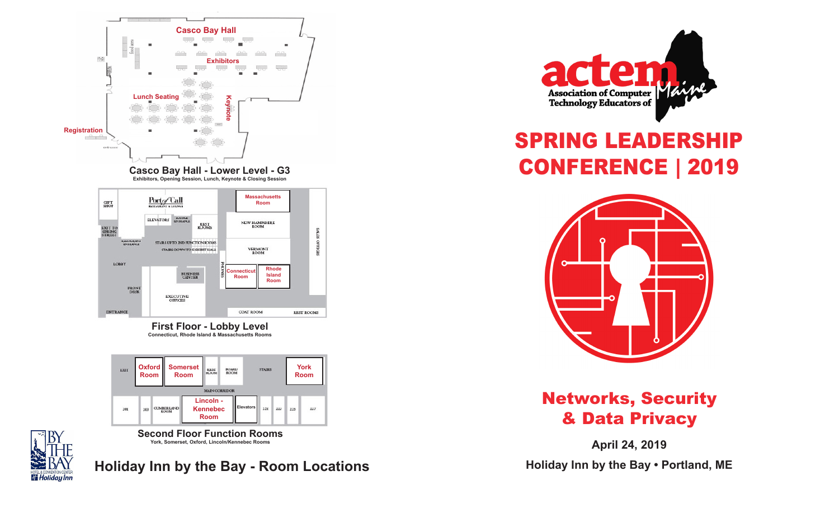

**First Floor - Lobby Level Connecticut, Rhode Island & Massachusetts Rooms**



**Second Floor Function Rooms York, Somerset, Oxford, Lincoln/Kennebec Rooms**



**Holiday Inn by the Bay - Room Locations**



# SPRING LEADERSHIP CONFERENCE **|** 2019



# Networks, Security & Data Privacy

**April 24, 2019 Holiday Inn by the Bay • Portland, ME**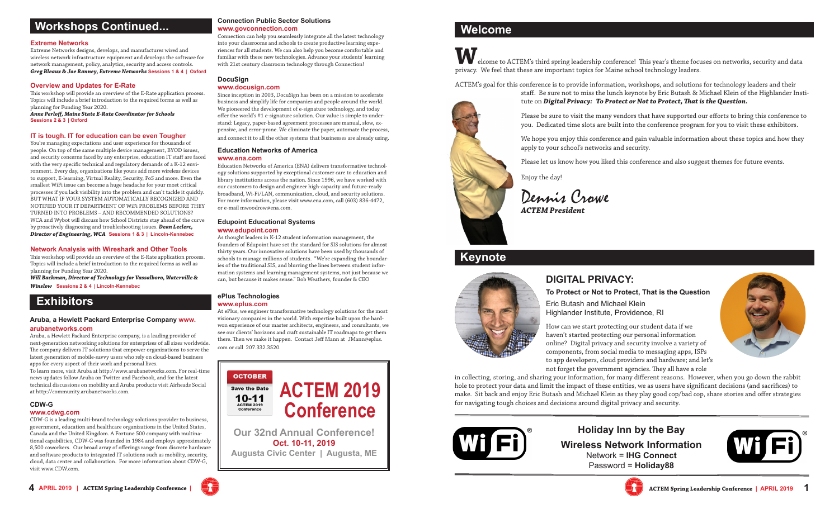## **Workshops Continued...**

#### **Extreme Networks**

Extreme Networks designs, develops, and manufactures wired and wireless network infrastructure equipment and develops the software for network management, policy, analytics, security and access controls. *Greg Bleaux & Joe Ranney, Extreme Networks* **Sessions 1 & 4 | Oxford**

#### **Overview and Updates for E-Rate**

This workshop will provide an overview of the E-Rate application process. Topics will include a brief introduction to the required forms as well as planning for Funding Year 2020. *Anne Perloff, Maine State E-Rate Coordinator for Schools*

**Sessions 2 & 3 | Oxford**

#### **IT is tough. IT for education can be even Tougher**

You're managing expectations and user experience for thousands of people. On top of the same multiple device management, BYOD issues, and security concerns faced by any enterprise, education IT staff are faced with the very specific technical and regulatory demands of a K-12 environment. Every day, organizations like yours add more wireless devices to support, E-learning, Virtual Reality, Security, PoS and more. Even the smallest WiFi issue can become a huge headache for your most critical processes if you lack visibility into the problem and can't tackle it quickly. BUT WHAT IF YOUR SYSTEM AUTOMATICALLY RECOGNIZED AND NOTIFIED YOUR IT DEPARTMENT OF WiFi PROBLEMS BEFORE THEY TURNED INTO PROBLEMS – AND RECOMMENDED SOLUTIONS? WCA and Wybot will discuss how School Districts stay ahead of the curve by proactively diagnosing and troubleshooting issues. *Dean Leclerc, Director of Engineering, WCA* **Sessions 1 & 3 | Lincoln-Kennebec**

#### **Network Analysis with Wireshark and Other Tools**

This workshop will provide an overview of the E-Rate application process. Topics will include a brief introduction to the required forms as well as planning for Funding Year 2020.

*Will Backman, Director of Technology for Vassalboro, Waterville & Winslow* **Sessions 2 & 4 | Lincoln-Kennebec**

## **Exhibitors**

#### **Aruba, a Hewlett Packard Enterprise Company www.**

#### **arubanetworks.com**

Aruba, a Hewlett Packard Enterprise company, is a leading provider of next-generation networking solutions for enterprises of all sizes worldwide. The company delivers IT solutions that empower organizations to serve the latest generation of mobile-savvy users who rely on cloud-based business apps for every aspect of their work and personal lives. To learn more, visit Aruba at http://www.arubanetworks.com. For real-time

news updates follow Aruba on Twitter and Facebook, and for the latest technical discussions on mobility and Aruba products visit Airheads Social at http://community.arubanetworks.com.

#### **CDW-G**

#### **www.cdwg.com**

CDW-G is a leading multi-brand technology solutions provider to business, government, education and healthcare organizations in the United States, Canada and the United Kingdom. A Fortune 500 company with multinational capabilities, CDW-G was founded in 1984 and employs approximately 8,500 coworkers. Our broad array of offerings range from discrete hardware and software products to integrated IT solutions such as mobility, security, cloud, data center and collaboration. For more information about CDW-G, visit www.CDW.com.

#### **Connection Public Sector Solutions www.govconnection.com**

Connection can help you seamlessly integrate all the latest technology into your classrooms and schools to create productive learning experiences for all students. We can also help you become comfortable and familiar with these new technologies. Advance your students' learning with 21st century classroom technology through Connection!

#### **DocuSign**

**www.docusign.com**

Since inception in 2003, DocuSign has been on a mission to accelerate business and simplify life for companies and people around the world. We pioneered the development of e-signature technology, and today offer the world's #1 e-signature solution. Our value is simple to understand: Legacy, paper-based agreement processes are manual, slow, expensive, and error-prone. We eliminate the paper, automate the process, and connect it to all the other systems that businesses are already using.

#### **Education Networks of America www.ena.com**

Education Networks of America (ENA) delivers transformative technology solutions supported by exceptional customer care to education and library institutions across the nation. Since 1996, we have worked with our customers to design and engineer high-capacity and future-ready broadband, Wi-Fi/LAN, communication, cloud, and security solutions. For more information, please visit www.ena.com, call (603) 836-4472, or e-mail mwoodrow@ena.com.

#### **Edupoint Educational Systems www.edupoint.com**

As thought leaders in K-12 student information management, the founders of Edupoint have set the standard for SIS solutions for almost thirty years. Our innovative solutions have been used by thousands of schools to manage millions of students. "We're expanding the boundaries of the traditional SIS, and blurring the lines between student information systems and learning management systems, not just because we can, but because it makes sense." Bob Weathers, founder & CEO

#### **ePlus Technologies www.eplus.com**

At ePlus, we engineer transformative technology solutions for the most visionary companies in the world. With expertise built upon the hardwon experience of our master architects, engineers, and consultants, we see our clients' horizons and craft sustainable IT roadmaps to get them there. Then we make it happen. Contact Jeff Mann at JMann@eplus. com or call 207.332.3520.





## **Welcome**

**W**elcome to ACTEM's third spring leadership conference! This year's theme focuses on networks, security and data privacy. We feel that these are important topics for Maine school technology leaders.

ACTEM's goal for this conference is to provide information, workshops, and solutions for technology leaders and their



staff. Be sure not to miss the lunch keynote by Eric Butash & Michael Klein of the Highlander Institute on *Digital Privacy: To Protect or Not to Protect, That is the Question.*

Please be sure to visit the many vendors that have supported our efforts to bring this conference to you. Dedicated time slots are built into the conference program for you to visit these exhibitors.

We hope you enjoy this conference and gain valuable information about these topics and how they apply to your school's networks and security.

Please let us know how you liked this conference and also suggest themes for future events.

Enjoy the day!

Dennis Crowe *ACTEM President*

## **Keynote**



## **DIGITAL PRIVACY:**

**To Protect or Not to Protect, That is the Question** Eric Butash and Michael Klein

Highlander Institute, Providence, RI

How can we start protecting our student data if we haven't started protecting our personal information online? Digital privacy and security involve a variety of components, from social media to messaging apps, ISPs to app developers, cloud providers and hardware; and let's not forget the government agencies. They all have a role

in collecting, storing, and sharing your information, for many different reasons. However, when you go down the rabbit hole to protect your data and limit the impact of these entities, we as users have significant decisions (and sacrifices) to make. Sit back and enjoy Eric Butash and Michael Klein as they play good cop/bad cop, share stories and offer strategies for navigating tough choices and decisions around digital privacy and security.



**Holiday Inn by the Bay Wireless Network Information** Network = **IHG Connect** Password = **Holiday88**





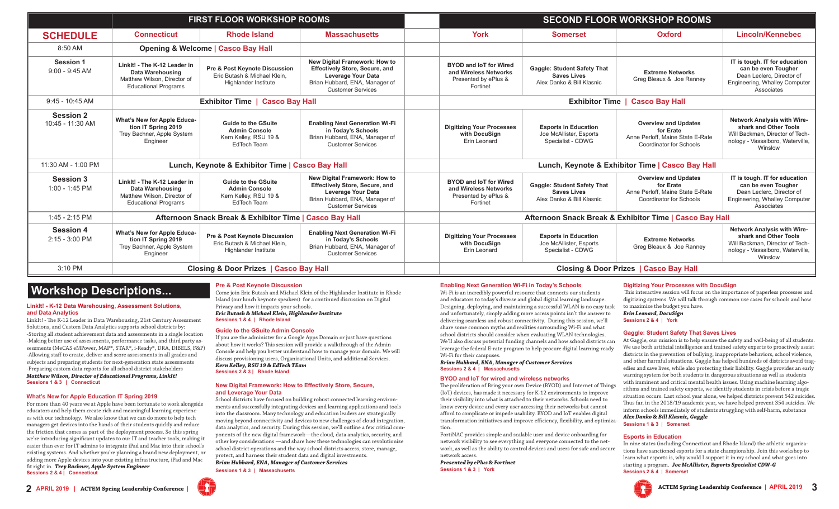|                                      | <b>FIRST FLOOR WORKSHOP ROOMS</b>                                                                              |                                                                                                   |                                                                                                                                                            | <b>SECOND FLOOR WORKSHOP ROOMS</b>                                                         |                                                                                       |                                                                                                                |                                                                                                                                               |
|--------------------------------------|----------------------------------------------------------------------------------------------------------------|---------------------------------------------------------------------------------------------------|------------------------------------------------------------------------------------------------------------------------------------------------------------|--------------------------------------------------------------------------------------------|---------------------------------------------------------------------------------------|----------------------------------------------------------------------------------------------------------------|-----------------------------------------------------------------------------------------------------------------------------------------------|
| <b>SCHEDULE</b>                      | <b>Connecticut</b>                                                                                             | <b>Rhode Island</b>                                                                               | <b>Massachusetts</b>                                                                                                                                       | York                                                                                       | <b>Somerset</b>                                                                       | Oxford                                                                                                         | Lincoln/Kennebec                                                                                                                              |
| 8:50 AM                              | <b>Opening &amp; Welcome   Casco Bay Hall</b>                                                                  |                                                                                                   |                                                                                                                                                            |                                                                                            |                                                                                       |                                                                                                                |                                                                                                                                               |
| <b>Session 1</b><br>$9:00 - 9:45$ AM | Linklt! - The K-12 Leader in<br>Data Warehousing<br>Matthew Wilson, Director of<br><b>Educational Programs</b> | Pre & Post Keynote Discussion<br>Eric Butash & Michael Klein.<br><b>Highlander Institute</b>      | New Digital Framework: How to<br><b>Effectively Store, Secure, and</b><br>Leverage Your Data<br>Brian Hubbard, ENA, Manager of<br><b>Customer Services</b> | <b>BYOD and IoT for Wired</b><br>and Wireless Networks<br>Presented by ePlus &<br>Fortinet | <b>Gaggle: Student Safety That</b><br><b>Saves Lives</b><br>Alex Danko & Bill Klasnic | <b>Extreme Networks</b><br>Greg Bleaux & Joe Ranney                                                            | IT is tough. IT for education<br>can be even Tougher<br>Dean Leclerc. Director of<br>Engineering, Whalley Computer<br>Associates              |
| $9:45 - 10:45$ AM                    | <b>Exhibitor Time   Casco Bay Hall</b>                                                                         |                                                                                                   |                                                                                                                                                            | <b>Exhibitor Time   Casco Bay Hall</b>                                                     |                                                                                       |                                                                                                                |                                                                                                                                               |
| <b>Session 2</b><br>10:45 - 11:30 AM | <b>What's New for Apple Educa-</b><br>tion IT Spring 2019<br>Trey Bachner, Apple System<br>Engineer            | <b>Guide to the GSuite</b><br><b>Admin Console</b><br>Kern Kelley, RSU 19 &<br><b>EdTech Team</b> | <b>Enabling Next Generation Wi-Fi</b><br>in Today's Schools<br>Brian Hubbard, ENA, Manager of<br><b>Customer Services</b>                                  | <b>Digitizing Your Processes</b><br>with DocuSign<br>Erin Leonard                          | <b>Esports in Education</b><br>Joe McAllister, Esports<br>Specialist - CDWG           | <b>Overview and Updates</b><br>for Erate<br>Anne Perloff, Maine State E-Rate<br><b>Coordinator for Schools</b> | <b>Network Analysis with Wire-</b><br>shark and Other Tools<br>Will Backman, Director of Tech-<br>nology - Vassalboro, Waterville<br>Winslow  |
| 11:30 AM - 1:00 PM                   | Lunch, Keynote & Exhibitor Time   Casco Bay Hall                                                               |                                                                                                   |                                                                                                                                                            | Lunch, Keynote & Exhibitor Time   Casco Bay Hall                                           |                                                                                       |                                                                                                                |                                                                                                                                               |
| <b>Session 3</b><br>1:00 - 1:45 PM   | Linklt! - The K-12 Leader in<br>Data Warehousing<br>Matthew Wilson, Director of<br><b>Educational Programs</b> | <b>Guide to the GSuite</b><br><b>Admin Console</b><br>Kern Kelley, RSU 19 &<br><b>EdTech Team</b> | New Digital Framework: How to<br><b>Effectively Store, Secure, and</b><br>Leverage Your Data<br>Brian Hubbard, ENA, Manager of<br><b>Customer Services</b> | <b>BYOD and IoT for Wired</b><br>and Wireless Networks<br>Presented by ePlus &<br>Fortinet | <b>Gaggle: Student Safety That</b><br><b>Saves Lives</b><br>Alex Danko & Bill Klasnic | <b>Overview and Updates</b><br>for Erate<br>Anne Perloff, Maine State E-Rate<br><b>Coordinator for Schools</b> | IT is tough. IT for education<br>can be even Tougher<br>Dean Leclerc. Director of<br>Engineering, Whalley Computer<br>Associates              |
| 1:45 - 2:15 PM                       | Afternoon Snack Break & Exhibitor Time   Casco Bay Hall                                                        |                                                                                                   |                                                                                                                                                            | Afternoon Snack Break & Exhibitor Time   Casco Bay Hall                                    |                                                                                       |                                                                                                                |                                                                                                                                               |
| <b>Session 4</b><br>$2:15 - 3:00$ PM | What's New for Apple Educa-<br>tion IT Spring 2019<br>Trey Bachner, Apple System<br>Engineer                   | Pre & Post Keynote Discussion<br>Eric Butash & Michael Klein.<br>Highlander Institute             | <b>Enabling Next Generation Wi-Fi</b><br>in Today's Schools<br>Brian Hubbard, ENA, Manager of<br><b>Customer Services</b>                                  | <b>Digitizing Your Processes</b><br>with DocuSign<br>Erin Leonard                          | <b>Esports in Education</b><br>Joe McAllister, Esports<br>Specialist - CDWG           | <b>Extreme Networks</b><br>Greg Bleaux & Joe Ranney                                                            | <b>Network Analysis with Wire-</b><br>shark and Other Tools<br>Will Backman, Director of Tech-<br>nology - Vassalboro, Waterville,<br>Winslow |
| 3:10 PM                              | <b>Closing &amp; Door Prizes   Casco Bay Hall</b>                                                              |                                                                                                   |                                                                                                                                                            | <b>Closing &amp; Door Prizes   Casco Bay Hall</b>                                          |                                                                                       |                                                                                                                |                                                                                                                                               |

## **Workshop Descriptions...**

#### **LinkIt! - K-12 Data Warehousing, Assessment Solutions, and Data Analytics**

LinkIt! - The K-12 Leader in Data Warehousing, 21st Century Assessment Solutions, and Custom Data Analytics supports school districts by: -Storing all student achievement data and assessments in a single location -Making better use of assessments, performance tasks, and third party assessments (MeCAS eMPower, MAP®, STAR®, i-Ready®, DRA, DIBELS, F&P) -Allowing staff to create, deliver and score assessments in all grades and subjects and preparing students for next-generation state assessments -Preparing custom data reports for all school district stakeholders *Matthew Wilson, Director of Educational Programs, LinkIt!* **Sessions 1 & 3 | Connecticut**

#### **What's New for Apple Education IT Spring 2019**

For more than 40 years we at Apple have been fortunate to work alongside educators and help them create rich and meaningful learning experiences with our technology. We also know that we can do more to help tech managers get devices into the hands of their students quickly and reduce the friction that comes as part of the deployment process. So this spring we're introducing significant updates to our IT and teacher tools, making it easier than ever for IT admins to integrate iPad and Mac into their school's existing systems. And whether you're planning a brand new deployment, or adding more Apple devices into your existing infrastructure, iPad and Mac fit right in. *Trey Bachner, Apple System Engineer* **Sessions 2 & 4 | Connecticut**

#### **Pre & Post Keynote Discussion**

Come join Eric Butash and Michael Klein of the Highlander Institute in Rhode Island (our lunch keynote speakers) for a continued discussion on Digital Privacy and how it impacts your schools. *Eric Butash & Michael Klein, Highlander Institute* 

**Sessions 1 & 4 | Rhode Island**

#### **Guide to the GSuite Admin Console**

If you are the administer for a Google Apps Domain or just have questions about how it works? This session will provide a walkthrough of the Admin Console and help you better understand how to manage your domain. We will discuss provisioning users, Organizational Units, and additional Services. *Kern Kelley, RSU 19 & EdTech TEam*  **Sessions 2 & 3 | Rhode Island**

#### **New Digital Framework: How to Effectively Store, Secure, and Leverage Your Data**

School districts have focused on building robust connected learning environments and successfully integrating devices and learning applications and tools into the classroom. Many technology and education leaders are strategically moving beyond connectivity and devices to new challenges of cloud integration, data analytics, and security. During this session, we'll outline a few critical components of the new digital framework—the cloud, data analytics, security, and other key considerations —and share how these technologies can revolutionize school district operations and the way school districts access, store, manage, protect, and harness their student data and digital investments. *Brian Hubbard, ENA, Manager of Customer Services* 

**Sessions 1 & 3 | Massachusetts**

### **Enabling Next Generation Wi-Fi in Today's Schools**

Wi-Fi is an incredibly powerful resource that connects our students and educators to today's diverse and global digital learning landscape. Designing, deploying, and maintaining a successful WLAN is no easy task and unfortunately, simply adding more access points isn't the answer to delivering seamless and robust connectivity. During this session, we'll share some common myths and realities surrounding Wi-Fi and what school districts should consider when evaluating WLAN technologies. We'll also discuss potential funding channels and how school districts can leverage the federal E-rate program to help procure digital learning-ready Wi-Fi for their campuses.

#### *Brian Hubbard, ENA, Manager of Customer Services*  **Sessions 2 & 4 | Massachusetts**

#### **BYOD and IoT for wired and wireless networks**

The proliferation of Bring your own Device (BYOD) and Internet of Things (IoT) devices, has made it necessary for K-12 environments to improve their visibility into what is attached to their networks. Schools need to know every device and every user accessing their networks but cannot afford to complicate or impede usability. BYOD and IoT enables digital transformation initiatives and improve efficiency, flexibility, and optimization.

FortiNAC provides simple and scalable user and device onboarding for network visibility to see everything and everyone connected to the network, as well as the ability to control devices and users for safe and secure network access.

*Presented by ePlus & Fortinet* **Sessions 1 & 3 | York**

#### **Digitizing Your Processes with DocuSign**

 This interactive session will focus on the importance of paperless processes and digitizing systems. We will talk through common use cases for schools and how to maximize the budget you have.

#### *Erin Leonard, DocuSign*

**Sessions 2 & 4 | York**

#### **Gaggle: Student Safety That Saves Lives**

At Gaggle, our mission is to help ensure the safety and well-being of all students. We use both artificial intelligence and trained safety experts to proactively assist districts in the prevention of bullying, inappropriate behaviors, school violence, and other harmful situations. Gaggle has helped hundreds of districts avoid tragedies and save lives, while also protecting their liability. Gaggle provides an early warning system for both students in dangerous situations as well as students with imminent and critical mental health issues. Using machine learning algorithms and trained safety experts, we identify students in crisis before a tragic situation occurs. Last school year alone, we helped districts prevent 542 suicides. Thus far, in the 2018/19 academic year, we have helped prevent 354 suicides. We inform schools immediately of students struggling with self-harm, substance *Alex Danko & Bill Klasnic, Gaggle* 

**Sessions 1 & 3 | Somerset**

#### **Esports in Education**

In nine states (including Connecticut and Rhode Island) the athletic organizations have sanctioned esports for a state championship. Join this workshop to learn what esports is, why would I support it in my school and what goes into starting a program. *Joe McAllister, Esports Specialist CDW-G*  **Sessions 2 & 4 | Somerset**